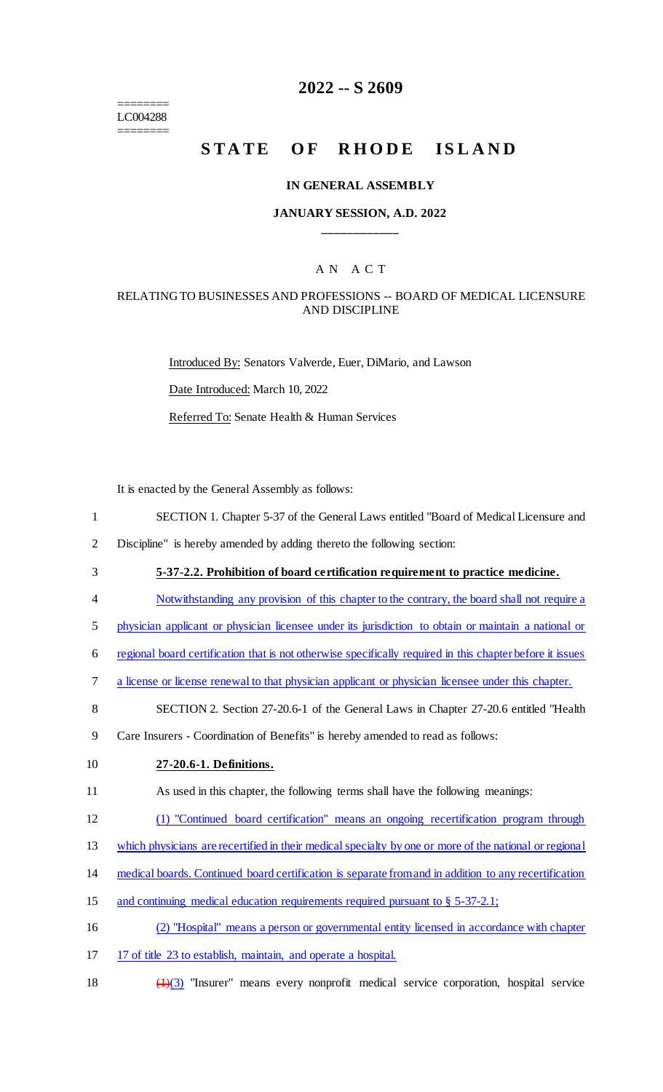======== LC004288 ========

# **2022 -- S 2609**

# STATE OF RHODE ISLAND

### **IN GENERAL ASSEMBLY**

### **JANUARY SESSION, A.D. 2022 \_\_\_\_\_\_\_\_\_\_\_\_**

### A N A C T

### RELATING TO BUSINESSES AND PROFESSIONS -- BOARD OF MEDICAL LICENSURE AND DISCIPLINE

Introduced By: Senators Valverde, Euer, DiMario, and Lawson Date Introduced: March 10, 2022 Referred To: Senate Health & Human Services

It is enacted by the General Assembly as follows:

- 1 SECTION 1. Chapter 5-37 of the General Laws entitled "Board of Medical Licensure and
- 2 Discipline" is hereby amended by adding thereto the following section:
- 3 **5-37-2.2. Prohibition of board certification requirement to practice medicine.**
- 4 Notwithstanding any provision of this chapter to the contrary, the board shall not require a
- 5 physician applicant or physician licensee under its jurisdiction to obtain or maintain a national or
- 6 regional board certification that is not otherwise specifically required in this chapter before it issues
- 7 a license or license renewal to that physician applicant or physician licensee under this chapter.
- 8 SECTION 2. Section 27-20.6-1 of the General Laws in Chapter 27-20.6 entitled "Health
- 9 Care Insurers Coordination of Benefits" is hereby amended to read as follows:
- 

#### 10 **27-20.6-1. Definitions.**

- 11 As used in this chapter, the following terms shall have the following meanings:
- 12 (1) "Continued board certification" means an ongoing recertification program through
- 13 which physicians are recertified in their medical specialty by one or more of the national or regional
- 14 medical boards. Continued board certification is separate from and in addition to any recertification
- 15 and continuing medical education requirements required pursuant to § 5-37-2.1;
- 16 (2) "Hospital" means a person or governmental entity licensed in accordance with chapter
- 17 17 of title 23 to establish, maintain, and operate a hospital.
- 18  $\left(\frac{1}{3}\right)$  "Insurer" means every nonprofit medical service corporation, hospital service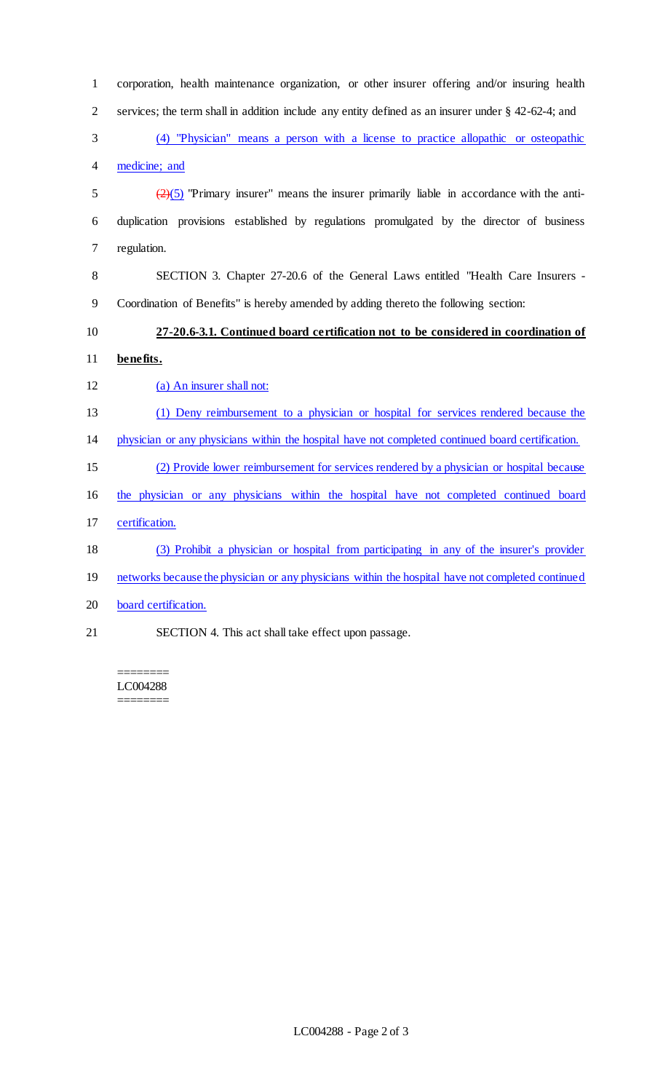| $\mathbf{1}$   | corporation, health maintenance organization, or other insurer offering and/or insuring health               |
|----------------|--------------------------------------------------------------------------------------------------------------|
| $\overline{2}$ | services; the term shall in addition include any entity defined as an insurer under § 42-62-4; and           |
| 3              | (4) "Physician" means a person with a license to practice allopathic or osteopathic                          |
| $\overline{4}$ | medicine; and                                                                                                |
| 5              | $\left(\frac{2}{2}\right)$ "Primary insurer" means the insurer primarily liable in accordance with the anti- |
| 6              | duplication provisions established by regulations promulgated by the director of business                    |
| $\tau$         | regulation.                                                                                                  |
| 8              | SECTION 3. Chapter 27-20.6 of the General Laws entitled "Health Care Insurers -                              |
| 9              | Coordination of Benefits" is hereby amended by adding thereto the following section:                         |
| 10             | 27-20.6-3.1. Continued board certification not to be considered in coordination of                           |
| 11             | be nefits.                                                                                                   |
| 12             | (a) An insurer shall not:                                                                                    |
| 13             | (1) Deny reimbursement to a physician or hospital for services rendered because the                          |
| 14             | physician or any physicians within the hospital have not completed continued board certification.            |
| 15             | (2) Provide lower reimbursement for services rendered by a physician or hospital because                     |
| 16             | the physician or any physicians within the hospital have not completed continued board                       |
| 17             | certification.                                                                                               |
| 18             | (3) Prohibit a physician or hospital from participating in any of the insurer's provider                     |
| 19             | networks because the physician or any physicians within the hospital have not completed continued            |
| 20             | board certification.                                                                                         |
| 21             | SECTION 4. This act shall take effect upon passage.                                                          |

======== LC004288 ========